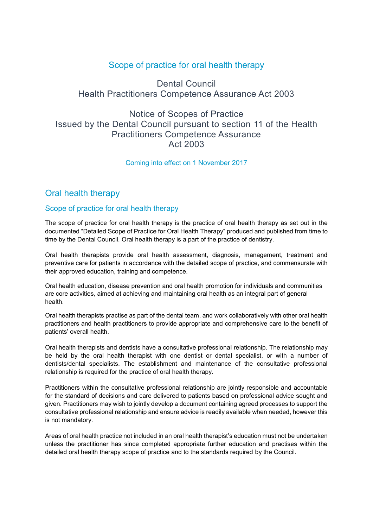# Scope of practice for oral health therapy

# Dental Council Health Practitioners Competence Assurance Act 2003

# Notice of Scopes of Practice Issued by the Dental Council pursuant to section 11 of the Health Practitioners Competence Assurance Act 2003

#### Coming into effect on 1 November 2017

## Oral health therapy

### Scope of practice for oral health therapy

The scope of practice for oral health therapy is the practice of oral health therapy as set out in the documented "Detailed Scope of Practice for Oral Health Therapy" produced and published from time to time by the Dental Council. Oral health therapy is a part of the practice of dentistry.

Oral health therapists provide oral health assessment, diagnosis, management, treatment and preventive care for patients in accordance with the detailed scope of practice, and commensurate with their approved education, training and competence.

Oral health education, disease prevention and oral health promotion for individuals and communities are core activities, aimed at achieving and maintaining oral health as an integral part of general health.

Oral health therapists practise as part of the dental team, and work collaboratively with other oral health practitioners and health practitioners to provide appropriate and comprehensive care to the benefit of patients' overall health.

Oral health therapists and dentists have a consultative professional relationship. The relationship may be held by the oral health therapist with one dentist or dental specialist, or with a number of dentists/dental specialists. The establishment and maintenance of the consultative professional relationship is required for the practice of oral health therapy.

Practitioners within the consultative professional relationship are jointly responsible and accountable for the standard of decisions and care delivered to patients based on professional advice sought and given. Practitioners may wish to jointly develop a document containing agreed processes to support the consultative professional relationship and ensure advice is readily available when needed, however this is not mandatory.

Areas of oral health practice not included in an oral health therapist's education must not be undertaken unless the practitioner has since completed appropriate further education and practises within the detailed oral health therapy scope of practice and to the standards required by the Council.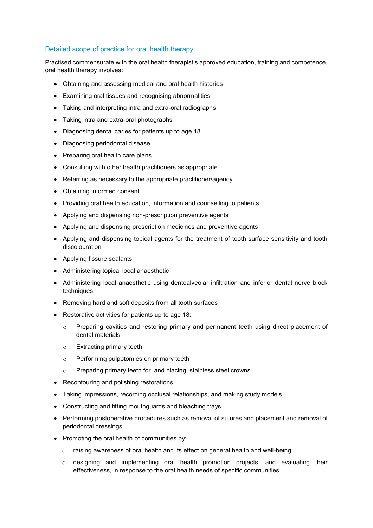#### Detailed scope of practice for oral health therapy

Practised commensurate with the oral health therapist's approved education, training and competence, oral health therapy involves:

- Obtaining and assessing medical and oral health histories
- Examining oral tissues and recognising abnormalities
- Taking and interpreting intra and extra-oral radiographs
- Taking intra and extra-oral photographs
- Diagnosing dental caries for patients up to age 18
- Diagnosing periodontal disease
- Preparing oral health care plans
- Consulting with other health practitioners as appropriate
- Referring as necessary to the appropriate practitioner/agency
- Obtaining informed consent
- Providing oral health education, information and counselling to patients
- Applying and dispensing non-prescription preventive agents
- Applying and dispensing prescription medicines and preventive agents
- Applying and dispensing topical agents for the treatment of tooth surface sensitivity and tooth discolouration
- Applying fissure sealants
- Administering topical local anaesthetic
- Administering local anaesthetic using dentoalveolar infiltration and inferior dental nerve block techniques
- Removing hard and soft deposits from all tooth surfaces
- Restorative activities for patients up to age 18:
	- o Preparing cavities and restoring primary and permanent teeth using direct placement of dental materials
	- o Extracting primary teeth
	- o Performing pulpotomies on primary teeth
	- o Preparing primary teeth for, and placing, stainless steel crowns
- Recontouring and polishing restorations
- Taking impressions, recording occlusal relationships, and making study models
- Constructing and fitting mouthguards and bleaching trays
- Performing postoperative procedures such as removal of sutures and placement and removal of periodontal dressings
- Promoting the oral health of communities by:
	- $\circ$  raising awareness of oral health and its effect on general health and well-being
	- $\circ$  designing and implementing oral health promotion projects, and evaluating their effectiveness, in response to the oral health needs of specific communities